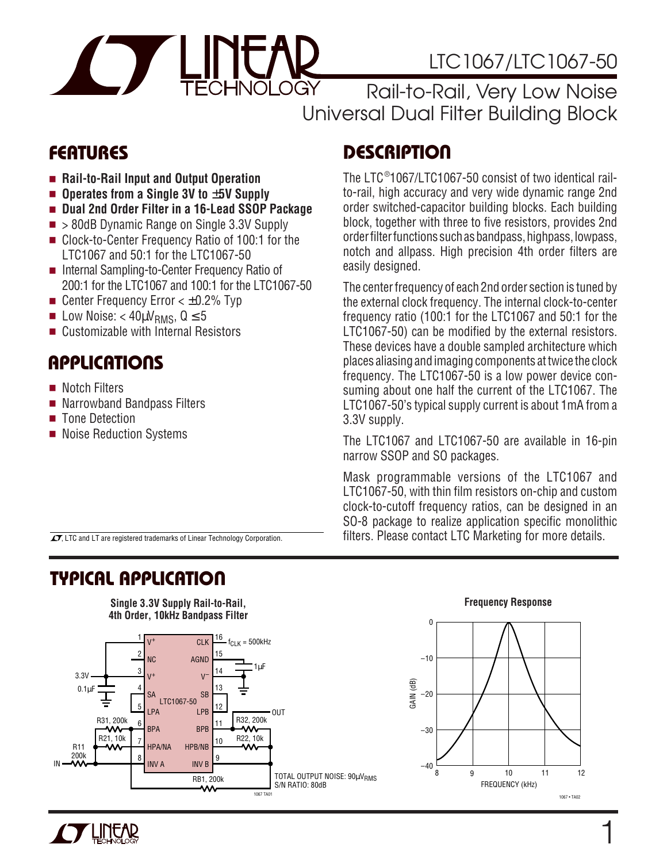

# LTC1067/LTC1067-50

Rail-to-Rail, Very Low Noise Universal Dual Filter Building Block

- **Rail-to-Rail Input and Output Operation**
- **Operates from a Single 3V to ±5V Supply**
- **Dual 2nd Order Filter in a 16-Lead SSOP Package**
- > 80dB Dynamic Range on Single 3.3V Supply
- Clock-to-Center Frequency Ratio of 100:1 for the LTC1067 and 50:1 for the LTC1067-50
- Internal Sampling-to-Center Frequency Ratio of 200:1 for the LTC1067 and 100:1 for the LTC1067-50
- Center Frequency Error  $<$   $±$ 0.2% Typ
- **■** Low Noise: <  $40 \mu V_{RMS}$ ,  $Q \le 5$
- Customizable with Internal Resistors

### **APPLICATIONS**  $\overline{\phantom{0}}$

- Notch Filters
- Narrowband Bandpass Filters
- Tone Detection
- Noise Reduction Systems

# **FEATURES DESCRIPTION U**

The LTC ® 1067/LTC1067-50 consist of two identical railto-rail, high accuracy and very wide dynamic range 2nd order switched-capacitor building blocks. Each building block, together with three to five resistors, provides 2nd order filter functions such as bandpass, highpass, lowpass, notch and allpass. High precision 4th order filters are easily designed.

The center frequency of each 2nd order section is tuned by the external clock frequency. The internal clock-to-center frequency ratio (100:1 for the LTC1067 and 50:1 for the LTC1067-50) can be modified by the external resistors. These devices have a double sampled architecture which places aliasing and imaging components at twice the clock frequency. The LTC1067-50 is a low power device consuming about one half the current of the LTC1067. The LTC1067-50's typical supply current is about 1mA from a 3.3V supply.

The LTC1067 and LTC1067-50 are available in 16-pin narrow SSOP and SO packages.

Mask programmable versions of the LTC1067 and LTC1067-50, with thin film resistors on-chip and custom clock-to-cutoff frequency ratios, can be designed in an SO-8 package to realize application specific monolithic  $\sigma$ , LTC and LT are registered trademarks of Linear Technology Corporation. **filters.** Please contact LTC Marketing for more details.

### **TYPICAL APPLICATION U**









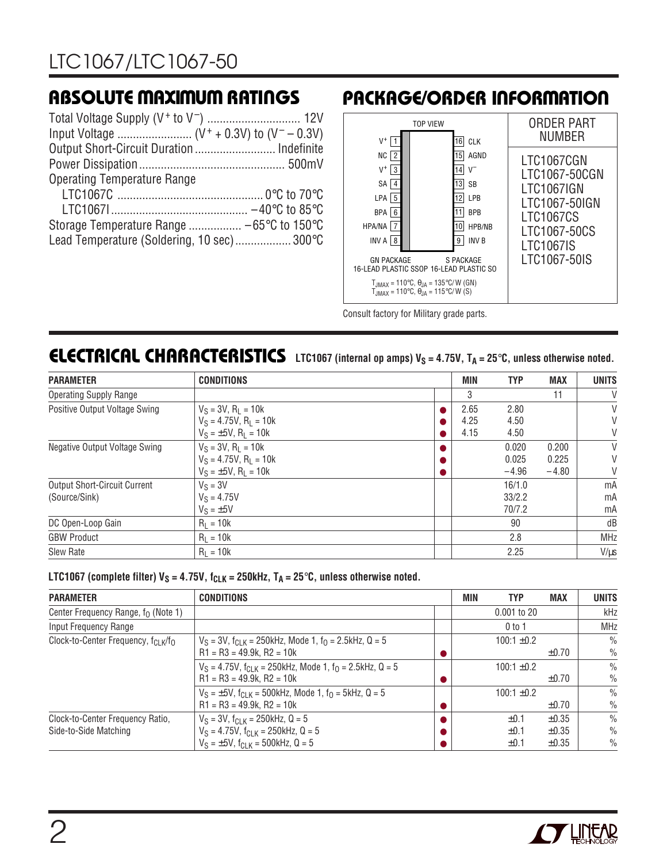| <b>Operating Temperature Range</b>         |  |
|--------------------------------------------|--|
|                                            |  |
|                                            |  |
|                                            |  |
| Lead Temperature (Soldering, 10 sec) 300°C |  |

### **ABSOLUTE MAXIMUM RATINGS <sup>W</sup> <sup>W</sup> <sup>W</sup> <sup>U</sup> PACKAGE/ORDER INFORMATION <sup>U</sup> <sup>W</sup> <sup>U</sup>**



Consult factory for Military grade parts.

### **ELECTRICAL CHARACTERISTICS** LTC1067 (internal op amps) V<sub>S</sub> = 4.75V, T<sub>A</sub> = 25°C, unless otherwise noted.

| <b>PARAMETER</b>                     | <b>CONDITIONS</b>                     | MIN  | <b>TYP</b> | <b>MAX</b> | <b>UNITS</b> |
|--------------------------------------|---------------------------------------|------|------------|------------|--------------|
| <b>Operating Supply Range</b>        |                                       | 3    |            | 11         | V            |
| Positive Output Voltage Swing        | $V_S = 3V$ , $R_1 = 10k$              | 2.65 | 2.80       |            | V            |
|                                      | $V_S = 4.75V$ , R <sub>1</sub> = 10k  | 4.25 | 4.50       |            | V            |
|                                      | $V_S = \pm 5V$ , R <sub>1</sub> = 10k | 4.15 | 4.50       |            | V            |
| <b>Negative Output Voltage Swing</b> | $V_S = 3V$ , $R_L = 10k$              |      | 0.020      | 0.200      | V            |
|                                      | $V_S = 4.75V$ , R <sub>1</sub> = 10k  |      | 0.025      | 0.225      | V            |
|                                      | $V_S = \pm 5V$ , R <sub>L</sub> = 10k |      | $-4.96$    | $-4.80$    | V            |
| <b>Output Short-Circuit Current</b>  | $V_S = 3V$                            |      | 16/1.0     |            | mA           |
| (Source/Sink)                        | $V_S = 4.75V$                         |      | 33/2.2     |            | mA           |
|                                      | $V_S = \pm 5V$                        |      | 70/7.2     |            | mA           |
| DC Open-Loop Gain                    | $R_1 = 10k$                           |      | 90         |            | dB           |
| <b>GBW Product</b>                   | $R_1 = 10k$                           |      | 2.8        |            | <b>MHz</b>   |
| <b>Slew Rate</b>                     | $R_1 = 10k$                           |      | 2.25       |            | $V/\mu s$    |

**LTC1067** (complete filter)  $V_S = 4.75V$ ,  $f_{CLK} = 250kHz$ ,  $T_A = 25°C$ , unless otherwise noted.

| <b>PARAMETER</b>                                            | <b>CONDITIONS</b>                                                                | MIN | <b>TYP</b>      | <b>MAX</b> | <b>UNITS</b>  |
|-------------------------------------------------------------|----------------------------------------------------------------------------------|-----|-----------------|------------|---------------|
| Center Frequency Range, $f_0$ (Note 1)                      |                                                                                  |     | $0.001$ to 20   |            | kHz           |
| Input Frequency Range                                       |                                                                                  |     | 0 to 1          |            | <b>MHz</b>    |
| Clock-to-Center Frequency, f <sub>CLK</sub> /f <sub>O</sub> | $V_S = 3V$ , $f_{Cl K} = 250$ kHz, Mode 1, $f_Q = 2.5$ kHz, Q = 5                |     | $100:1 \pm 0.2$ |            | $\frac{0}{0}$ |
|                                                             | $R1 = R3 = 49.9k$ , $R2 = 10k$                                                   |     |                 | $\pm 0.70$ | $\frac{0}{0}$ |
|                                                             | $V_S = 4.75V$ , $f_{C-K} = 250$ kHz, Mode 1, $f_0 = 2.5$ kHz, Q = 5              |     | $100:1 \pm 0.2$ |            | $\frac{0}{0}$ |
|                                                             | $R1 = R3 = 49.9k$ , $R2 = 10k$                                                   |     |                 | $\pm 0.70$ | $\frac{0}{0}$ |
|                                                             | $V_S = \pm 5V$ , f <sub>ClK</sub> = 500kHz, Mode 1, f <sub>0</sub> = 5kHz, Q = 5 |     | $100:1 \pm 0.2$ |            | $\frac{0}{0}$ |
|                                                             | $R1 = R3 = 49.9k$ , $R2 = 10k$                                                   |     |                 | $\pm 0.70$ | $\frac{0}{0}$ |
| Clock-to-Center Frequency Ratio,                            | $V_S = 3V$ , $f_{C-K} = 250$ kHz, Q = 5                                          |     | $\pm 0.1$       | $\pm 0.35$ | $\frac{0}{0}$ |
| Side-to-Side Matching                                       | $V_S = 4.75V$ , $f_{C1 K} = 250kHz$ , Q = 5                                      |     | $\pm 0.1$       | $\pm 0.35$ | $\frac{0}{0}$ |
|                                                             | $V_S = \pm 5V$ , $f_{C1 K} = 500kHz$ , Q = 5                                     |     | $\pm 0.1$       | $\pm 0.35$ | $\%$          |

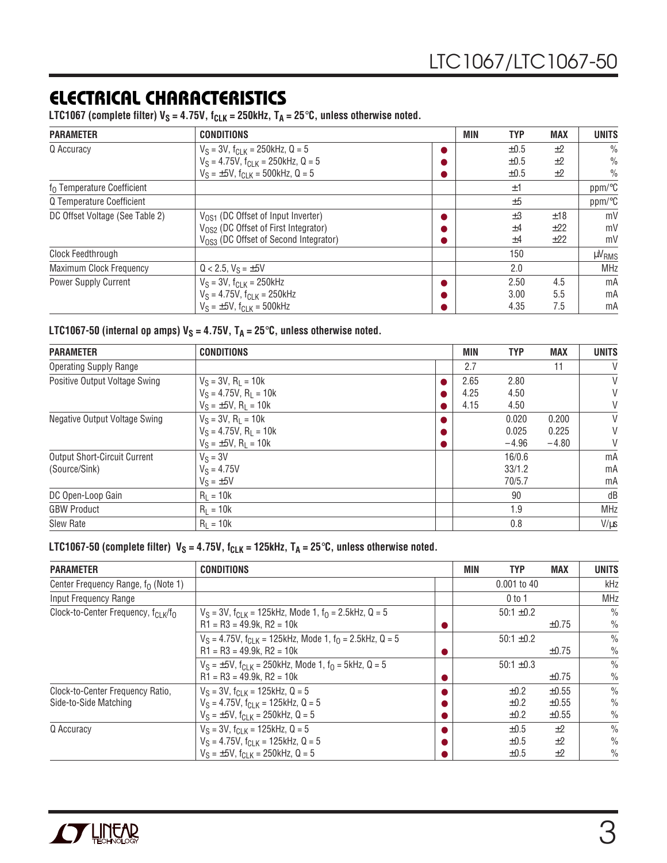### **ELECTRICAL CHARACTERISTICS**

LTC1067 (complete filter)  $V_S = 4.75V$ ,  $f_{CLK} = 250kHz$ ,  $T_A = 25°C$ , unless otherwise noted.

| <b>PARAMETER</b>                       | <b>CONDITIONS</b>                                 | <b>MIN</b> | <b>TYP</b> | <b>MAX</b> | <b>UNITS</b>         |
|----------------------------------------|---------------------------------------------------|------------|------------|------------|----------------------|
| Q Accuracy                             | $V_S = 3V$ , $f_{C-K} = 250$ kHz, Q = 5           |            | $\pm 0.5$  | $+2$       | $\frac{0}{0}$        |
|                                        | $V_S = 4.75V$ , $f_{CLK} = 250kHz$ , $Q = 5$      |            | $\pm 0.5$  | ±2         | $\frac{0}{0}$        |
|                                        | $V_S = \pm 5V$ , $f_{C-K} = 500$ kHz, Q = 5       |            | $\pm 0.5$  | ±2         | $\%$                 |
| f <sub>0</sub> Temperature Coefficient |                                                   |            | ±1         |            | ppm/°C               |
| Q Temperature Coefficient              |                                                   |            | ±5         |            | $ppm$ <sup>o</sup> C |
| DC Offset Voltage (See Table 2)        | $V_{OS1}$ (DC Offset of Input Inverter)           |            | $\pm 3$    | ±18        | mV                   |
|                                        | V <sub>OS2</sub> (DC Offset of First Integrator)  |            | ±4         | ±22        | mV                   |
|                                        | V <sub>OS3</sub> (DC Offset of Second Integrator) |            | ±4         | ±22        | mV                   |
| Clock Feedthrough                      |                                                   |            | 150        |            | µV <sub>RMS</sub>    |
| <b>Maximum Clock Frequency</b>         | $Q < 2.5$ , $V_S = \pm 5V$                        |            | 2.0        |            | <b>MHz</b>           |
| <b>Power Supply Current</b>            | $V_S = 3V$ , $f_{C1 K} = 250kHz$                  |            | 2.50       | 4.5        | mA                   |
|                                        | $V_S = 4.75V$ , $f_{C1 K} = 250kHz$               |            | 3.00       | 5.5        | mA                   |
|                                        | $V_S = \pm 5V$ , $f_{CIR} = 500$ kHz              |            | 4.35       | 7.5        | mA                   |

#### **LTC1067-50 (internal op amps)**  $V_S = 4.75V$ ,  $T_A = 25^\circ C$ , unless otherwise noted.

| <b>PARAMETER</b>                    | <b>CONDITIONS</b>                     | MIN  | <b>TYP</b> | <b>MAX</b> | <b>UNITS</b> |
|-------------------------------------|---------------------------------------|------|------------|------------|--------------|
| <b>Operating Supply Range</b>       |                                       | 2.7  |            | 11         | V            |
| Positive Output Voltage Swing       | $V_S = 3V$ , $R_L = 10k$              | 2.65 | 2.80       |            | V            |
|                                     | $V_S = 4.75V$ , R <sub>1</sub> = 10k  | 4.25 | 4.50       |            | V            |
|                                     | $V_S = \pm 5V$ , R <sub>1</sub> = 10k | 4.15 | 4.50       |            | V            |
| Negative Output Voltage Swing       | $V_S = 3V$ , $R_1 = 10k$              |      | 0.020      | 0.200      | V            |
|                                     | $V_S = 4.75V$ , R <sub>1</sub> = 10k  |      | 0.025      | 0.225      | V            |
|                                     | $V_S = \pm 5V$ , R <sub>1</sub> = 10k |      | $-4.96$    | $-4.80$    | V            |
| <b>Output Short-Circuit Current</b> | $V_S = 3V$                            |      | 16/0.6     |            | mA           |
| (Source/Sink)                       | $V_S = 4.75V$                         |      | 33/1.2     |            | mA           |
|                                     | $V_S = \pm 5V$                        |      | 70/5.7     |            | mA           |
| DC Open-Loop Gain                   | $R_1 = 10k$                           |      | 90         |            | dB           |
| <b>GBW Product</b>                  | $R_1 = 10k$                           |      | 1.9        |            | <b>MHz</b>   |
| Slew Rate                           | $R_1 = 10k$                           |      | 0.8        |            | $V/\mu s$    |

LTC1067-50 (complete filter)  $V_S = 4.75V$ ,  $f_{CLK} = 125kHz$ ,  $T_A = 25°C$ , unless otherwise noted.

| <b>PARAMETER</b>                                          | <b>CONDITIONS</b>                                                                                                                             | MIN | <b>TYP</b>                          | <b>MAX</b>                             | <b>UNITS</b>                                    |
|-----------------------------------------------------------|-----------------------------------------------------------------------------------------------------------------------------------------------|-----|-------------------------------------|----------------------------------------|-------------------------------------------------|
| Center Frequency Range, $f_0$ (Note 1)                    |                                                                                                                                               |     | $0.001$ to 40                       |                                        | kHz                                             |
| Input Frequency Range                                     |                                                                                                                                               |     | $0$ to 1                            |                                        | <b>MHz</b>                                      |
| Clock-to-Center Frequency, fcl K/fo                       | $V_S = 3V$ , $f_{C-K} = 125$ kHz, Mode 1, $f_0 = 2.5$ kHz, Q = 5<br>$R1 = R3 = 49.9k$ , $R2 = 10k$                                            |     | $50:1 \pm 0.2$                      | $\pm 0.75$                             | $\frac{0}{0}$<br>$\frac{0}{0}$                  |
|                                                           | $V_S = 4.75V$ , $f_{Cl K} = 125kHz$ , Mode 1, $f_{O} = 2.5kHz$ , Q = 5<br>$R1 = R3 = 49.9k$ , $R2 = 10k$                                      |     | $50:1 \pm 0.2$                      | $\pm 0.75$                             | $\frac{0}{0}$<br>$\frac{0}{0}$                  |
|                                                           | $V_S = \pm 5V$ , $f_{CLK} = 250$ kHz, Mode 1, $f_0 = 5$ kHz, Q = 5<br>$R1 = R3 = 49.9k$ , $R2 = 10k$                                          |     | $50:1 \pm 0.3$                      | $\pm 0.75$                             | $\frac{0}{0}$<br>$\frac{0}{0}$                  |
| Clock-to-Center Frequency Ratio,<br>Side-to-Side Matching | $V_S = 3V$ , $f_{CIR} = 125kHz$ , $Q = 5$<br>$V_S = 4.75V$ , $f_{C1 K} = 125kHz$ , Q = 5<br>$V_S = \pm 5V$ , f <sub>CLK</sub> = 250kHz, Q = 5 |     | $\pm 0.2$<br>$\pm 0.2$<br>$\pm 0.2$ | $\pm 0.55$<br>$\pm 0.55$<br>$\pm 0.55$ | $\frac{0}{0}$<br>$\frac{0}{0}$<br>$\frac{0}{0}$ |
| Q Accuracy                                                | $V_S = 3V$ , $f_{CIR} = 125kHz$ , Q = 5<br>$V_S = 4.75V$ , $f_{C-K} = 125kHz$ , Q = 5<br>$V_S = \pm 5V$ , $f_{C-K} = 250$ kHz, Q = 5          |     | $\pm 0.5$<br>$\pm 0.5$<br>$\pm 0.5$ | $+2$<br>$+2$<br>$+2$                   | $\frac{0}{0}$<br>$\frac{0}{0}$<br>$\frac{0}{0}$ |

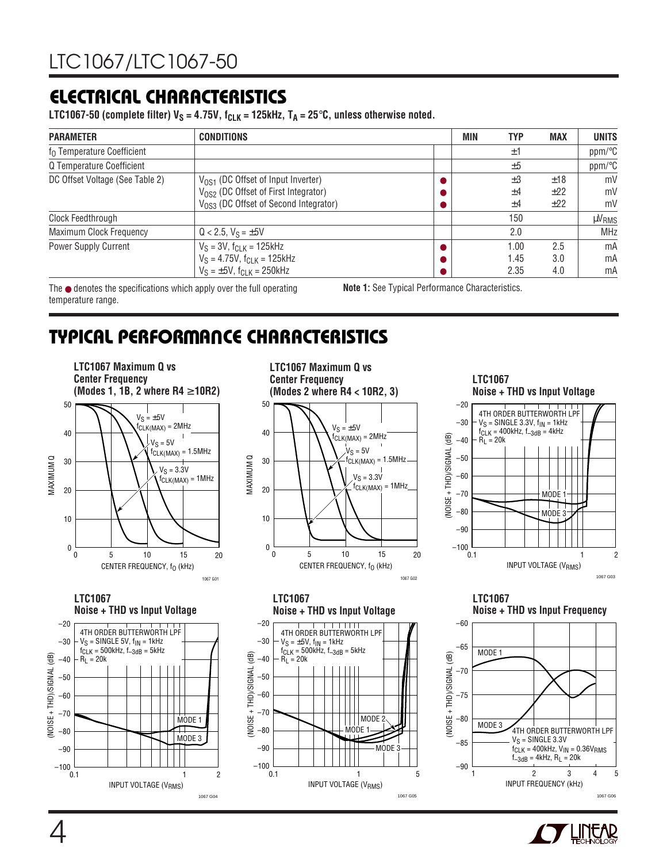### **ELECTRICAL CHARACTERISTICS**

LTC1067-50 (complete filter)  $V_S = 4.75V$ ,  $f_{CLK} = 125kHz$ ,  $T_A = 25°C$ , unless otherwise noted.

| <b>PARAMETER</b>                       | <b>CONDITIONS</b>                                 | MIN | <b>TYP</b> | <b>MAX</b> | <b>UNITS</b>      |
|----------------------------------------|---------------------------------------------------|-----|------------|------------|-------------------|
| f <sub>0</sub> Temperature Coefficient |                                                   |     | $\pm 1$    |            | ppm/°C            |
| Q Temperature Coefficient              |                                                   |     | ±5         |            | ppm/°C            |
| DC Offset Voltage (See Table 2)        | V <sub>OS1</sub> (DC Offset of Input Inverter)    |     | $\pm 3$    | ±18        | mV                |
|                                        | V <sub>OS2</sub> (DC Offset of First Integrator)  |     | ±4         | ±22        | mV                |
|                                        | V <sub>OS3</sub> (DC Offset of Second Integrator) |     | ±4         | ±22        | mV                |
| Clock Feedthrough                      |                                                   |     | 150        |            | µV <sub>RMS</sub> |
| Maximum Clock Frequency                | $Q < 2.5$ , $V_S = \pm 5V$                        |     | 2.0        |            | <b>MHz</b>        |
| <b>Power Supply Current</b>            | $V_S = 3V$ , $f_{CLK} = 125kHz$                   |     | 1.00       | 2.5        | mA                |
|                                        | $V_S = 4.75V$ , $f_{CJK} = 125kHz$                |     | 1.45       | 3.0        | mA                |
|                                        | $V_S = \pm 5V$ , $f_{CIR} = 250kHz$               |     | 2.35       | 4.0        | mA                |

The  $\bullet$  denotes the specifications which apply over the full operating temperature range.

**Note 1:** See Typical Performance Characteristics.

### **TYPICAL PERFORMANCE CHARACTERISTICS W U**



INPUT VOLTAGE (V<sub>RMS</sub>)

1

1067 G04

 $\overline{2}$ 

**LTC1067 Maximum Q vs Center Frequency (Modes 2 where R4 < 10R2, 3)** 50















 $0.1$ 

–100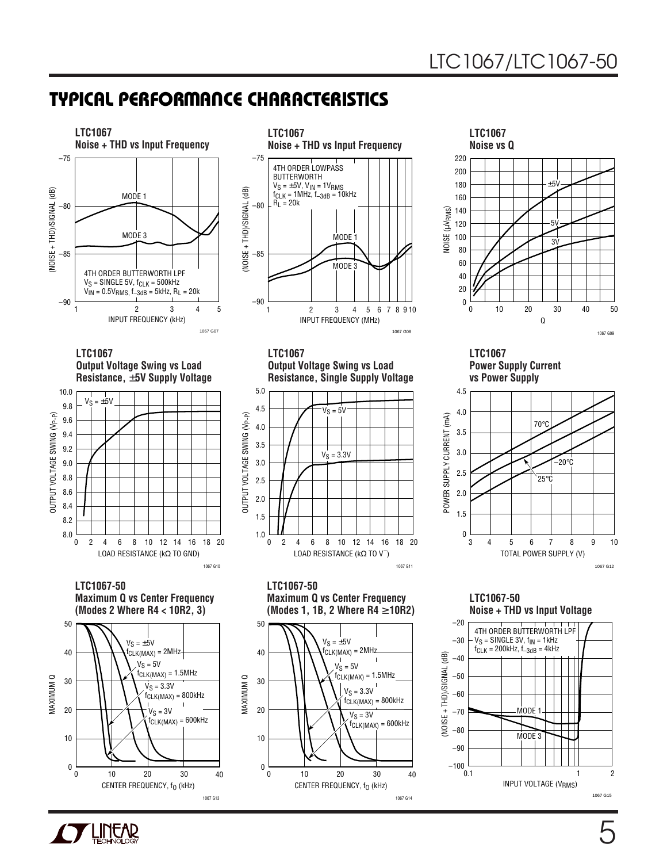### **TYPICAL PERFORMANCE CHARACTERISTICS W U**





**LTC1067 Power Supply Current vs Power Supply**



**Maximum Q vs Center Frequency (Modes 1, 1B, 2 Where R4** ≥ **10R2)**

1067 G11

1067 G08



**LTC1067-50 Noise + THD vs Input Voltage**





0

10

 $\Omega$ 

CENTER FREQUENCY, f<sub>O</sub> (kHz)

10 20 30

40

1067 G13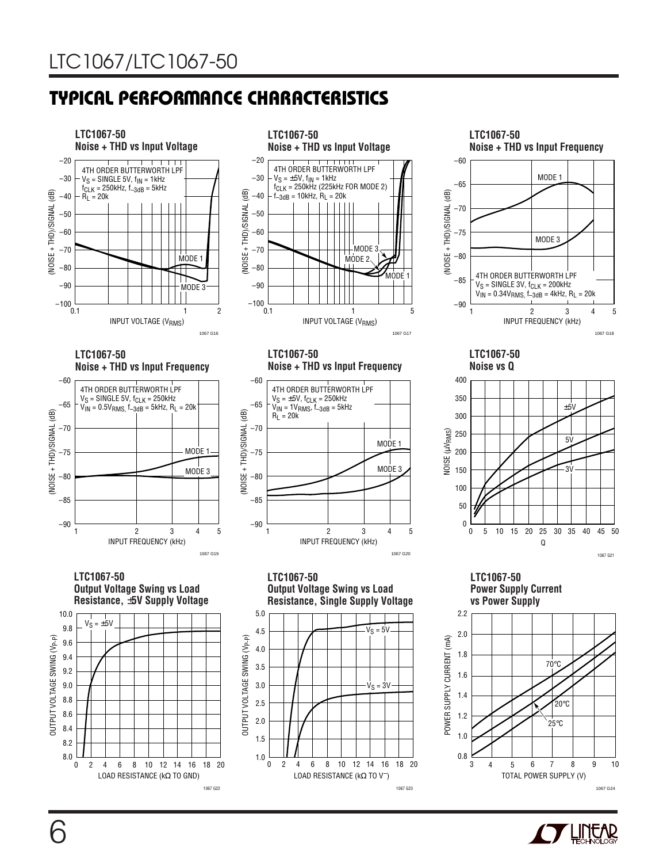### **TYPICAL PERFORMANCE CHARACTERISTICS W U**



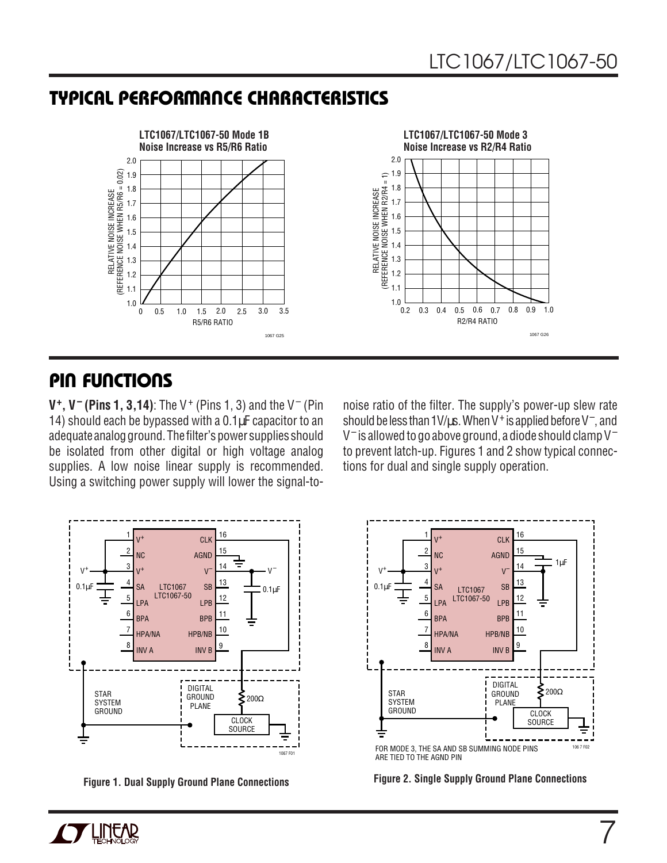### **TYPICAL PERFORMANCE CHARACTERISTICS W U**



### **PIN FUNCTIONS U UU**

**V<sup>+</sup>, V<sup>-</sup> (Pins 1, 3,14)**: The V<sup>+</sup> (Pins 1, 3) and the V<sup>-</sup> (Pin 14) should each be bypassed with a 0.1 $\mu$ F capacitor to an adequate analog ground. The filter's power supplies should be isolated from other digital or high voltage analog supplies. A low noise linear supply is recommended. Using a switching power supply will lower the signal-to-



noise ratio of the filter. The supply's power-up slew rate should be less than 1V/ $\mu$ s. When V<sup>+</sup> is applied before V<sup>-</sup>, and V<sup>-</sup> is allowed to go above ground, a diode should clamp V<sup>-</sup> to prevent latch-up. Figures 1 and 2 show typical connections for dual and single supply operation.





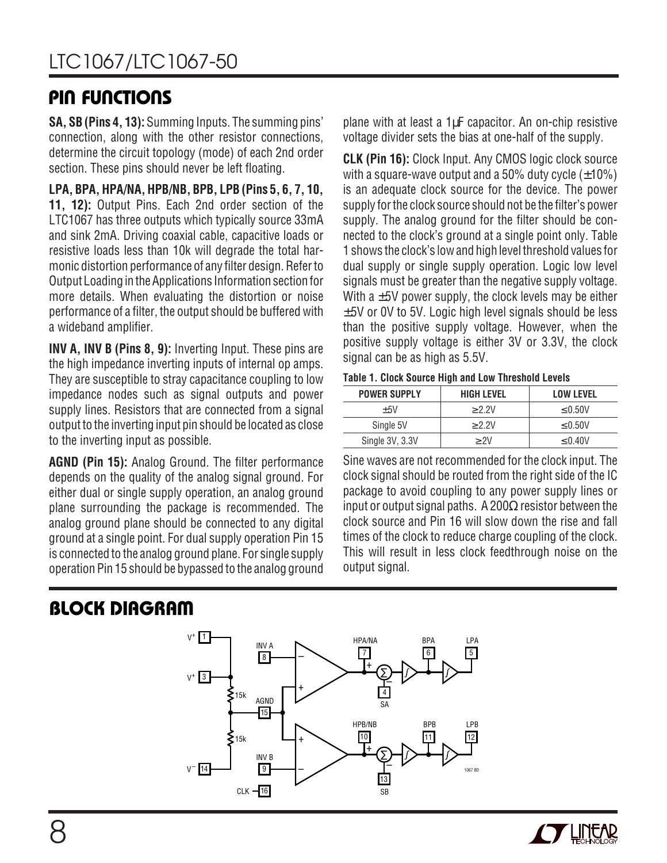### **PIN FUNCTIONS U UU**

**SA, SB (Pins 4, 13):** Summing Inputs. The summing pins' connection, along with the other resistor connections, determine the circuit topology (mode) of each 2nd order section. These pins should never be left floating.

**LPA, BPA, HPA/NA, HPB/NB, BPB, LPB (Pins 5, 6, 7, 10, 11, 12):** Output Pins. Each 2nd order section of the LTC1067 has three outputs which typically source 33mA and sink 2mA. Driving coaxial cable, capacitive loads or resistive loads less than 10k will degrade the total harmonic distortion performance of any filter design. Refer to Output Loading in the Applications Information section for more details. When evaluating the distortion or noise performance of a filter, the output should be buffered with a wideband amplifier.

**INV A, INV B (Pins 8, 9):** Inverting Input. These pins are the high impedance inverting inputs of internal op amps. They are susceptible to stray capacitance coupling to low impedance nodes such as signal outputs and power supply lines. Resistors that are connected from a signal output to the inverting input pin should be located as close to the inverting input as possible.

**AGND (Pin 15):** Analog Ground. The filter performance depends on the quality of the analog signal ground. For either dual or single supply operation, an analog ground plane surrounding the package is recommended. The analog ground plane should be connected to any digital ground at a single point. For dual supply operation Pin 15 is connected to the analog ground plane. For single supply operation Pin 15 should be bypassed to the analog ground plane with at least a 1µF capacitor. An on-chip resistive voltage divider sets the bias at one-half of the supply.

**CLK (Pin 16):** Clock Input. Any CMOS logic clock source with a square-wave output and a 50% duty cycle  $(\pm 10\%)$ is an adequate clock source for the device. The power supply for the clock source should not be the filter's power supply. The analog ground for the filter should be connected to the clock's ground at a single point only. Table 1 shows the clock's low and high level threshold values for dual supply or single supply operation. Logic low level signals must be greater than the negative supply voltage. With a  $\pm$ 5V power supply, the clock levels may be either  $\pm$ 5V or 0V to 5V. Logic high level signals should be less than the positive supply voltage. However, when the positive supply voltage is either 3V or 3.3V, the clock signal can be as high as 5.5V.

**Table 1. Clock Source High and Low Threshold Levels**

| <b>POWER SUPPLY</b> | <b>HIGH LEVEL</b> | <b>LOW LEVEL</b> |
|---------------------|-------------------|------------------|
| $+5V$               | > 2.2V            | < 0.50V          |
| Single 5V           | > 2.2V            | < 0.50V          |
| Single 3V, 3.3V     | > 2V              | < 0.40V          |

Sine waves are not recommended for the clock input. The clock signal should be routed from the right side of the IC package to avoid coupling to any power supply lines or input or output signal paths. A 200 $\Omega$  resistor between the clock source and Pin 16 will slow down the rise and fall times of the clock to reduce charge coupling of the clock. This will result in less clock feedthrough noise on the output signal.

### **BLOCK DIAGRAM**



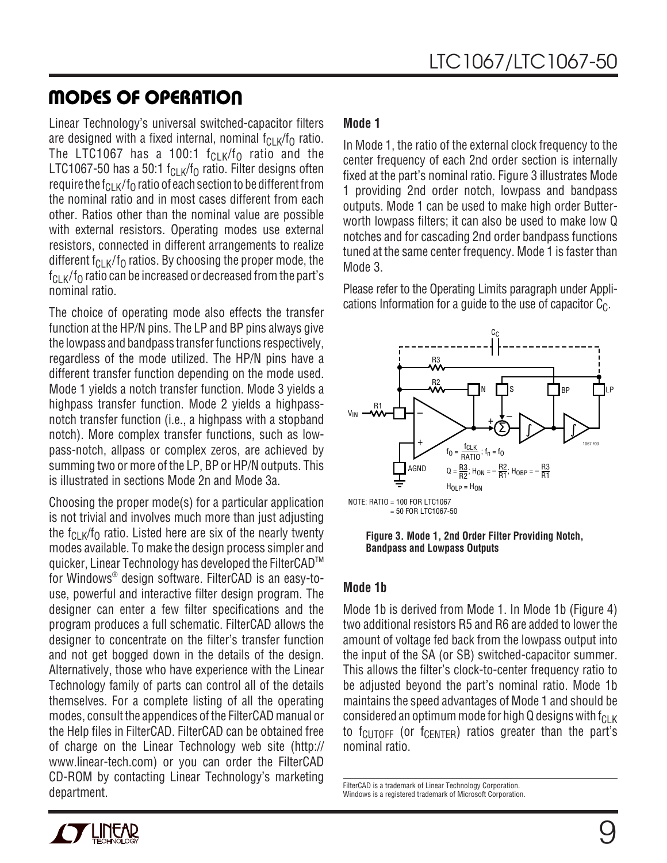### **MODES OF OPERATION**

Linear Technology's universal switched-capacitor filters are designed with a fixed internal, nominal  $f_{CLK}/f_{OL}$  ratio. The LTC1067 has a 100:1  $f_{\text{Cl K}}/f_0$  ratio and the LTC1067-50 has a 50:1  $f_{CLK}/f_0$  ratio. Filter designs often require the  $f_{\text{Cl K}}/f_0$  ratio of each section to be different from the nominal ratio and in most cases different from each other. Ratios other than the nominal value are possible with external resistors. Operating modes use external resistors, connected in different arrangements to realize different  $f_{CLK}/f_0$  ratios. By choosing the proper mode, the  $f_{\text{CL K}}/f_0$  ratio can be increased or decreased from the part's nominal ratio.

The choice of operating mode also effects the transfer function at the HP/N pins. The LP and BP pins always give the lowpass and bandpass transfer functions respectively, regardless of the mode utilized. The HP/N pins have a different transfer function depending on the mode used. Mode 1 yields a notch transfer function. Mode 3 yields a highpass transfer function. Mode 2 yields a highpassnotch transfer function (i.e., a highpass with a stopband notch). More complex transfer functions, such as lowpass-notch, allpass or complex zeros, are achieved by summing two or more of the LP, BP or HP/N outputs. This is illustrated in sections Mode 2n and Mode 3a.

Choosing the proper mode(s) for a particular application is not trivial and involves much more than just adjusting the  $f_{\text{Cl K}}/f_0$  ratio. Listed here are six of the nearly twenty modes available. To make the design process simpler and quicker, Linear Technology has developed the FilterCAD<sup>™</sup> for Windows® design software. FilterCAD is an easy-touse, powerful and interactive filter design program. The designer can enter a few filter specifications and the program produces a full schematic. FilterCAD allows the designer to concentrate on the filter's transfer function and not get bogged down in the details of the design. Alternatively, those who have experience with the Linear Technology family of parts can control all of the details themselves. For a complete listing of all the operating modes, consult the appendices of the FilterCAD manual or the Help files in FilterCAD. FilterCAD can be obtained free of charge on the Linear Technology web site (http:// www.linear-tech.com) or you can order the FilterCAD CD-ROM by contacting Linear Technology's marketing department.<br>Mindows is a registered trademark of Microsoft Corporation.<br>Windows is a registered trademark of Microsoft Corporation.

#### **Mode 1**

In Mode 1, the ratio of the external clock frequency to the center frequency of each 2nd order section is internally fixed at the part's nominal ratio. Figure 3 illustrates Mode 1 providing 2nd order notch, lowpass and bandpass outputs. Mode 1 can be used to make high order Butterworth lowpass filters; it can also be used to make low Q notches and for cascading 2nd order bandpass functions tuned at the same center frequency. Mode 1 is faster than Mode 3.

Please refer to the Operating Limits paragraph under Applications Information for a guide to the use of capacitor  $C_{\text{C}}$ .



**Figure 3. Mode 1, 2nd Order Filter Providing Notch, Bandpass and Lowpass Outputs**

#### **Mode 1b**

Mode 1b is derived from Mode 1. In Mode 1b (Figure 4) two additional resistors R5 and R6 are added to lower the amount of voltage fed back from the lowpass output into the input of the SA (or SB) switched-capacitor summer. This allows the filter's clock-to-center frequency ratio to be adjusted beyond the part's nominal ratio. Mode 1b maintains the speed advantages of Mode 1 and should be considered an optimum mode for high Q designs with  $f_{CLK}$ to  $f_{\text{CUTOFF}}$  (or  $f_{\text{CENTER}}$ ) ratios greater than the part's nominal ratio.

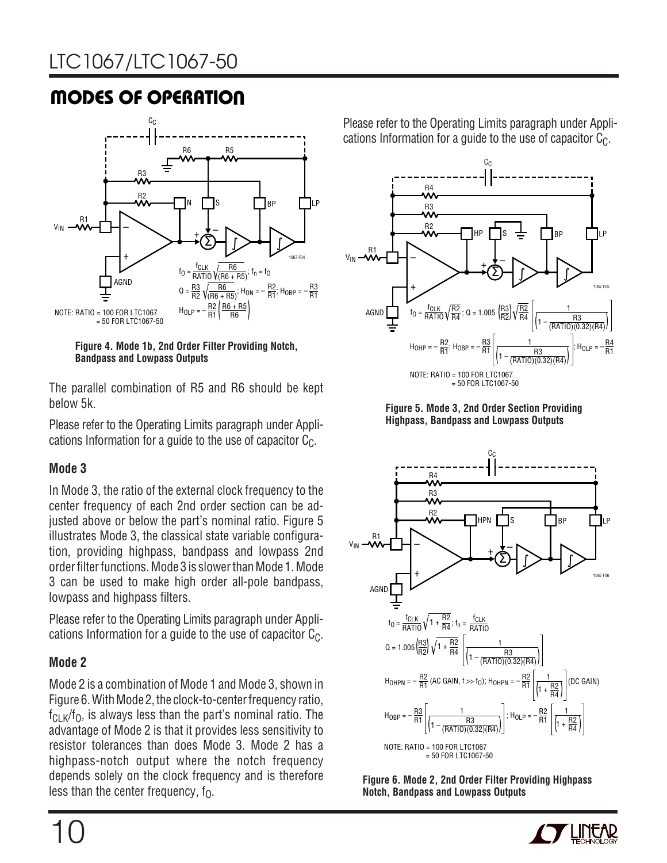# LTC1067/LTC1067-50

# **MODES OF OPERATION**



**Figure 4. Mode 1b, 2nd Order Filter Providing Notch, Bandpass and Lowpass Outputs**

The parallel combination of R5 and R6 should be kept below 5k.

Please refer to the Operating Limits paragraph under Applications Information for a quide to the use of capacitor  $C_{\text{C}}$ .

#### **Mode 3**

In Mode 3, the ratio of the external clock frequency to the center frequency of each 2nd order section can be adjusted above or below the part's nominal ratio. Figure 5 illustrates Mode 3, the classical state variable configuration, providing highpass, bandpass and lowpass 2nd order filter functions. Mode 3 is slower than Mode 1. Mode 3 can be used to make high order all-pole bandpass, lowpass and highpass filters.

Please refer to the Operating Limits paragraph under Applications Information for a guide to the use of capacitor  $C_{\text{C}}$ .

#### **Mode 2**

Mode 2 is a combination of Mode 1 and Mode 3, shown in Figure 6. With Mode 2, the clock-to-center frequency ratio,  $f_{CLK}/f_0$ , is always less than the part's nominal ratio. The advantage of Mode 2 is that it provides less sensitivity to resistor tolerances than does Mode 3. Mode 2 has a highpass-notch output where the notch frequency depends solely on the clock frequency and is therefore less than the center frequency,  $f_0$ .

Please refer to the Operating Limits paragraph under Applications Information for a guide to the use of capacitor  $C_{\text{C}}$ .









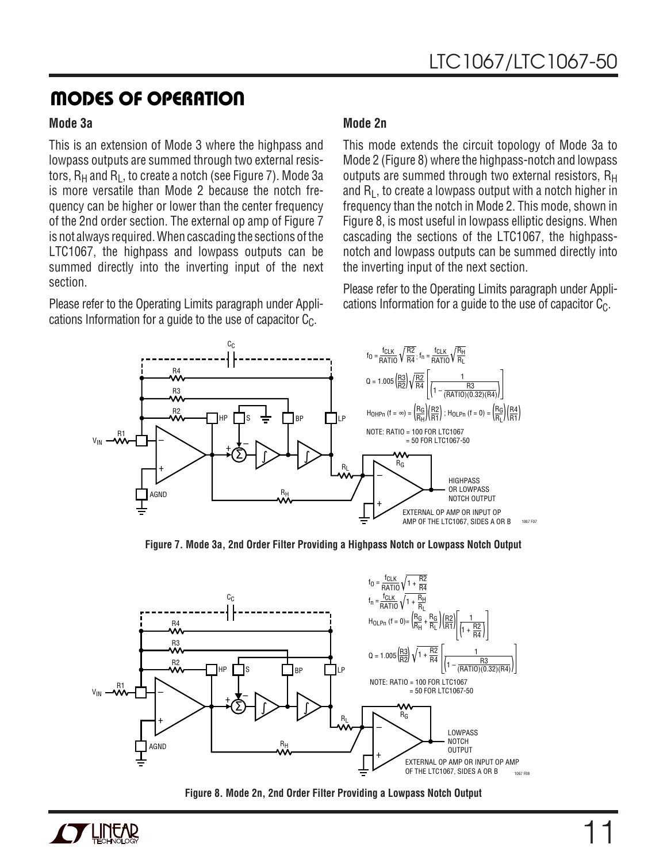### **MODES OF OPERATION**

#### **Mode 3a**

This is an extension of Mode 3 where the highpass and lowpass outputs are summed through two external resistors,  $R_H$  and  $R_I$ , to create a notch (see Figure 7). Mode 3a is more versatile than Mode 2 because the notch frequency can be higher or lower than the center frequency of the 2nd order section. The external op amp of Figure 7 is not always required. When cascading the sections of the LTC1067, the highpass and lowpass outputs can be summed directly into the inverting input of the next section.

Please refer to the Operating Limits paragraph under Applications Information for a guide to the use of capacitor  $C_{C}$ .

#### **Mode 2n**

This mode extends the circuit topology of Mode 3a to Mode 2 (Figure 8) where the highpass-notch and lowpass outputs are summed through two external resistors,  $R_H$ and  $R_1$ , to create a lowpass output with a notch higher in frequency than the notch in Mode 2. This mode, shown in Figure 8, is most useful in lowpass elliptic designs. When cascading the sections of the LTC1067, the highpassnotch and lowpass outputs can be summed directly into the inverting input of the next section.

Please refer to the Operating Limits paragraph under Applications Information for a guide to the use of capacitor  $C_{\text{C}}$ .



**Figure 7. Mode 3a, 2nd Order Filter Providing a Highpass Notch or Lowpass Notch Output**



**Figure 8. Mode 2n, 2nd Order Filter Providing a Lowpass Notch Output**

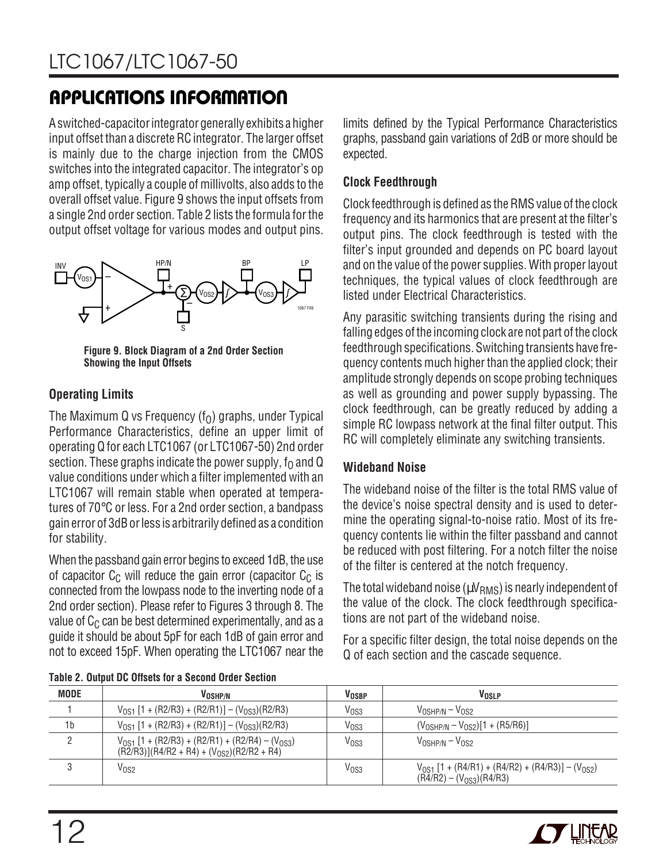A switched-capacitor integrator generally exhibits a higher input offset than a discrete RC integrator. The larger offset is mainly due to the charge injection from the CMOS switches into the integrated capacitor. The integrator's op amp offset, typically a couple of millivolts, also adds to the overall offset value. Figure 9 shows the input offsets from a single 2nd order section. Table 2 lists the formula for the output offset voltage for various modes and output pins.



**Figure 9. Block Diagram of a 2nd Order Section Showing the Input Offsets**

### **Operating Limits**

The Maximum Q vs Frequency  $(f_0)$  graphs, under Typical Performance Characteristics, define an upper limit of operating Q for each LTC1067 (or LTC1067-50) 2nd order section. These graphs indicate the power supply,  $f_0$  and Q value conditions under which a filter implemented with an LTC1067 will remain stable when operated at temperatures of 70°C or less. For a 2nd order section, a bandpass gain error of 3dB or less is arbitrarily defined as a condition for stability.

When the passband gain error begins to exceed 1dB, the use of capacitor  $C_C$  will reduce the gain error (capacitor  $C_C$  is connected from the lowpass node to the inverting node of a 2nd order section). Please refer to Figures 3 through 8. The value of  $C_C$  can be best determined experimentally, and as a guide it should be about 5pF for each 1dB of gain error and not to exceed 15pF. When operating the LTC1067 near the limits defined by the Typical Performance Characteristics graphs, passband gain variations of 2dB or more should be expected.

#### **Clock Feedthrough**

Clock feedthrough is defined as the RMS value of the clock frequency and its harmonics that are present at the filter's output pins. The clock feedthrough is tested with the filter's input grounded and depends on PC board layout and on the value of the power supplies. With proper layout techniques, the typical values of clock feedthrough are listed under Electrical Characteristics.

Any parasitic switching transients during the rising and falling edges of the incoming clock are not part of the clock feedthrough specifications. Switching transients have frequency contents much higher than the applied clock; their amplitude strongly depends on scope probing techniques as well as grounding and power supply bypassing. The clock feedthrough, can be greatly reduced by adding a simple RC lowpass network at the final filter output. This RC will completely eliminate any switching transients.

#### **Wideband Noise**

The wideband noise of the filter is the total RMS value of the device's noise spectral density and is used to determine the operating signal-to-noise ratio. Most of its frequency contents lie within the filter passband and cannot be reduced with post filtering. For a notch filter the noise of the filter is centered at the notch frequency.

The total wideband noise ( $\mu V_{\rm RMS}$ ) is nearly independent of the value of the clock. The clock feedthrough specifications are not part of the wideband noise.

For a specific filter design, the total noise depends on the Q of each section and the cascade sequence.

| <b>MODE</b>    | VOSHP/N                                                                                                        | <b>VOSBP</b>     | VOSLP                                                                                          |
|----------------|----------------------------------------------------------------------------------------------------------------|------------------|------------------------------------------------------------------------------------------------|
|                | $V_{OS1}$ [1 + (R2/R3) + (R2/R1)] – (V <sub>0S3</sub> )(R2/R3)                                                 | V <sub>OS3</sub> | $VOSHP/N - VOS2$                                                                               |
| 1 <sub>b</sub> | $V_{OS1}$ [1 + (R2/R3) + (R2/R1)] – (V <sub>0S3</sub> )(R2/R3)                                                 | V <sub>OS3</sub> | $(V_{\text{OSHP/N}} - V_{\text{OS2}})[1 + (\text{R5/R6})]$                                     |
| C.             | $V_{0S1}$ [1 + (R2/R3) + (R2/R1) + (R2/R4) – (V <sub>0S3</sub> )<br>$(R2/R3)[R4/R2 + R4] + (V0S2)(R2/R2 + R4)$ | V <sub>OS3</sub> | $V_{\text{OSHP/N}} - V_{\text{OS2}}$                                                           |
|                | V <sub>OS2</sub>                                                                                               | V <sub>OS3</sub> | $V_{OS1}$ [1 + (R4/R1) + (R4/R2) + (R4/R3)] – (V <sub>0S2</sub> )<br>$(R4/R2) - (V0S3)(R4/R3)$ |

**Table 2. Output DC Offsets for a Second Order Section**

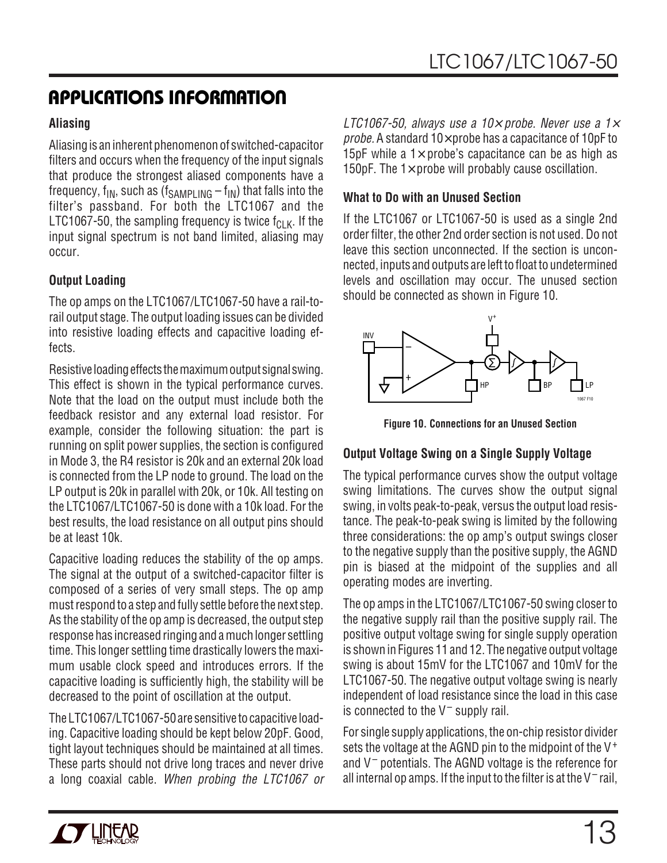#### **Aliasing**

Aliasing is an inherent phenomenon of switched-capacitor filters and occurs when the frequency of the input signals that produce the strongest aliased components have a frequency,  $f_{IN}$ , such as  $(f_{SAMPI ING} - f_{IN})$  that falls into the filter's passband. For both the LTC1067 and the LTC1067-50, the sampling frequency is twice  $f_{\text{Cl K}}$ . If the input signal spectrum is not band limited, aliasing may occur.

### **Output Loading**

The op amps on the LTC1067/LTC1067-50 have a rail-torail output stage. The output loading issues can be divided into resistive loading effects and capacitive loading effects.

Resistive loading effects the maximum output signal swing. This effect is shown in the typical performance curves. Note that the load on the output must include both the feedback resistor and any external load resistor. For example, consider the following situation: the part is running on split power supplies, the section is configured in Mode 3, the R4 resistor is 20k and an external 20k load is connected from the LP node to ground. The load on the LP output is 20k in parallel with 20k, or 10k. All testing on the LTC1067/LTC1067-50 is done with a 10k load. For the best results, the load resistance on all output pins should be at least 10k.

Capacitive loading reduces the stability of the op amps. The signal at the output of a switched-capacitor filter is composed of a series of very small steps. The op amp must respond to a step and fully settle before the next step. As the stability of the op amp is decreased, the output step response has increased ringing and a much longer settling time. This longer settling time drastically lowers the maximum usable clock speed and introduces errors. If the capacitive loading is sufficiently high, the stability will be decreased to the point of oscillation at the output.

The LTC1067/LTC1067-50 are sensitive to capacitive loading. Capacitive loading should be kept below 20pF. Good, tight layout techniques should be maintained at all times. These parts should not drive long traces and never drive a long coaxial cable. When probing the LTC1067 or LTC1067-50, always use a 10 $\times$  probe. Never use a 1 $\times$ probe. A standard  $10\times$  probe has a capacitance of  $10pF$  to 15pF while a  $1\times$  probe's capacitance can be as high as 150pF. The  $1\times$  probe will probably cause oscillation.

#### **What to Do with an Unused Section**

If the LTC1067 or LTC1067-50 is used as a single 2nd order filter, the other 2nd order section is not used. Do not leave this section unconnected. If the section is unconnected, inputs and outputs are left to float to undetermined levels and oscillation may occur. The unused section should be connected as shown in Figure 10.



**Figure 10. Connections for an Unused Section**

### **Output Voltage Swing on a Single Supply Voltage**

The typical performance curves show the output voltage swing limitations. The curves show the output signal swing, in volts peak-to-peak, versus the output load resistance. The peak-to-peak swing is limited by the following three considerations: the op amp's output swings closer to the negative supply than the positive supply, the AGND pin is biased at the midpoint of the supplies and all operating modes are inverting.

The op amps in the LTC1067/LTC1067-50 swing closer to the negative supply rail than the positive supply rail. The positive output voltage swing for single supply operation is shown in Figures 11 and 12. The negative output voltage swing is about 15mV for the LTC1067 and 10mV for the LTC1067-50. The negative output voltage swing is nearly independent of load resistance since the load in this case is connected to the V– supply rail.

For single supply applications, the on-chip resistor divider sets the voltage at the AGND pin to the midpoint of the V<sup>+</sup> and V– potentials. The AGND voltage is the reference for all internal op amps. If the input to the filter is at the  $V^-$  rail,

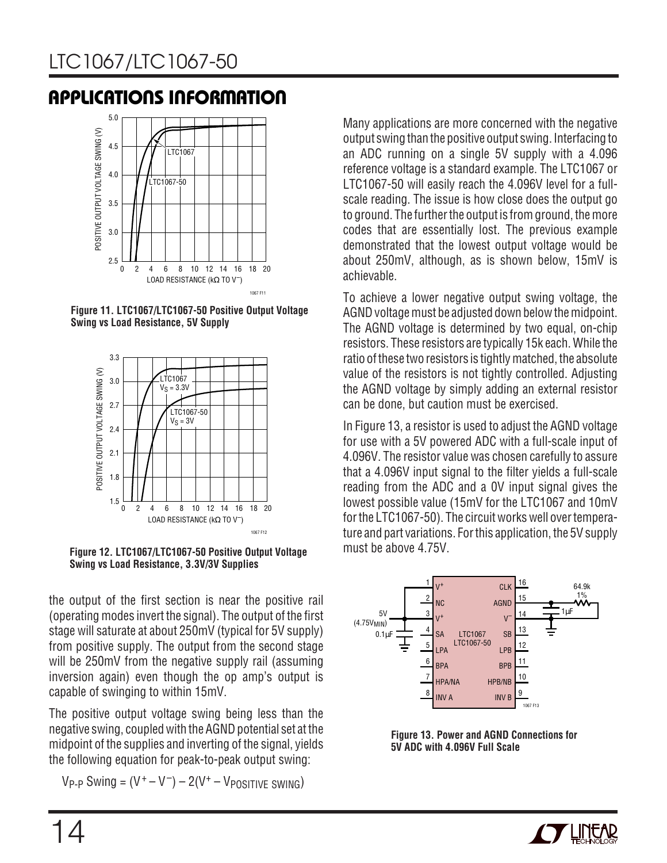

**Figure 11. LTC1067/LTC1067-50 Positive Output Voltage Swing vs Load Resistance, 5V Supply**



**Figure 12. LTC1067/LTC1067-50 Positive Output Voltage Swing vs Load Resistance, 3.3V/3V Supplies**

the output of the first section is near the positive rail (operating modes invert the signal). The output of the first stage will saturate at about 250mV (typical for 5V supply) from positive supply. The output from the second stage will be 250mV from the negative supply rail (assuming inversion again) even though the op amp's output is capable of swinging to within 15mV.

The positive output voltage swing being less than the negative swing, coupled with the AGND potential set at the midpoint of the supplies and inverting of the signal, yields the following equation for peak-to-peak output swing:

 $V_{P-P}$  Swing =  $(V^+ - V^-) - 2(V^+ - V_{POSITIVE}$  SWING)

Many applications are more concerned with the negative output swing than the positive output swing. Interfacing to an ADC running on a single 5V supply with a 4.096 reference voltage is a standard example. The LTC1067 or LTC1067-50 will easily reach the 4.096V level for a fullscale reading. The issue is how close does the output go to ground. The further the output is from ground, the more codes that are essentially lost. The previous example demonstrated that the lowest output voltage would be about 250mV, although, as is shown below, 15mV is achievable.

To achieve a lower negative output swing voltage, the AGND voltage must be adjusted down below the midpoint. The AGND voltage is determined by two equal, on-chip resistors. These resistors are typically 15k each. While the ratio of these two resistors is tightly matched, the absolute value of the resistors is not tightly controlled. Adjusting the AGND voltage by simply adding an external resistor can be done, but caution must be exercised.

In Figure 13, a resistor is used to adjust the AGND voltage for use with a 5V powered ADC with a full-scale input of 4.096V. The resistor value was chosen carefully to assure that a 4.096V input signal to the filter yields a full-scale reading from the ADC and a 0V input signal gives the lowest possible value (15mV for the LTC1067 and 10mV for the LTC1067-50). The circuit works well over temperature and part variations. For this application, the 5V supply must be above 4.75V.



**Figure 13. Power and AGND Connections for 5V ADC with 4.096V Full Scale**

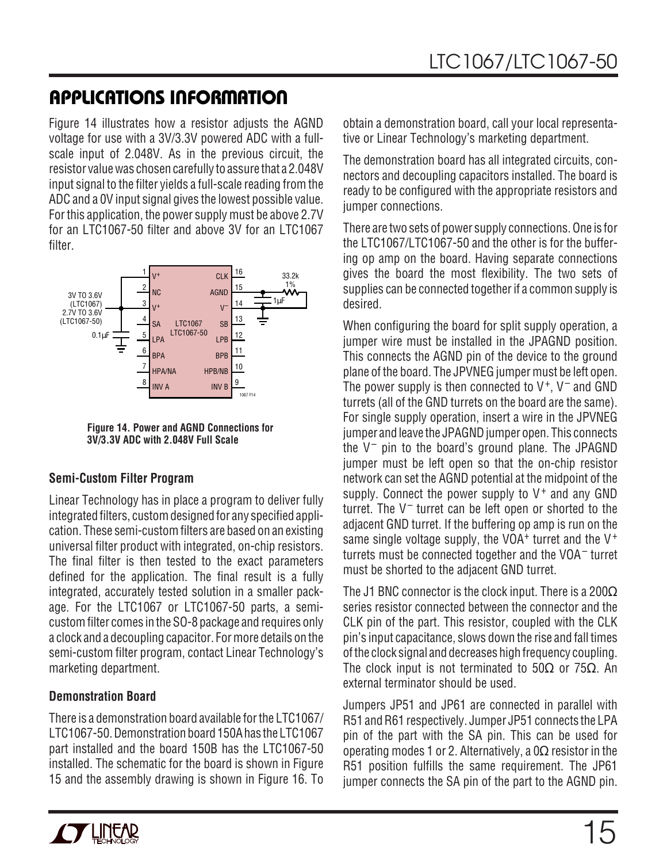Figure 14 illustrates how a resistor adjusts the AGND voltage for use with a 3V/3.3V powered ADC with a fullscale input of 2.048V. As in the previous circuit, the resistor value was chosen carefully to assure that a 2.048V input signal to the filter yields a full-scale reading from the ADC and a 0V input signal gives the lowest possible value. For this application, the power supply must be above 2.7V for an LTC1067-50 filter and above 3V for an LTC1067 filter.



**Figure 14. Power and AGND Connections for 3V/3.3V ADC with 2.048V Full Scale**

### **Semi-Custom Filter Program**

Linear Technology has in place a program to deliver fully integrated filters, custom designed for any specified application. These semi-custom filters are based on an existing universal filter product with integrated, on-chip resistors. The final filter is then tested to the exact parameters defined for the application. The final result is a fully integrated, accurately tested solution in a smaller package. For the LTC1067 or LTC1067-50 parts, a semicustom filter comes in the SO-8 package and requires only a clock and a decoupling capacitor. For more details on the semi-custom filter program, contact Linear Technology's marketing department.

#### **Demonstration Board**

There is a demonstration board available for the LTC1067/ LTC1067-50. Demonstration board 150A has the LTC1067 part installed and the board 150B has the LTC1067-50 installed. The schematic for the board is shown in Figure 15 and the assembly drawing is shown in Figure 16. To

obtain a demonstration board, call your local representative or Linear Technology's marketing department.

The demonstration board has all integrated circuits, connectors and decoupling capacitors installed. The board is ready to be configured with the appropriate resistors and jumper connections.

There are two sets of power supply connections. One is for the LTC1067/LTC1067-50 and the other is for the buffering op amp on the board. Having separate connections gives the board the most flexibility. The two sets of supplies can be connected together if a common supply is desired.

When configuring the board for split supply operation, a jumper wire must be installed in the JPAGND position. This connects the AGND pin of the device to the ground plane of the board. The JPVNEG jumper must be left open. The power supply is then connected to  $V^+$ ,  $V^-$  and GND turrets (all of the GND turrets on the board are the same). For single supply operation, insert a wire in the JPVNEG jumper and leave the JPAGND jumper open. This connects the  $V^-$  pin to the board's ground plane. The JPAGND jumper must be left open so that the on-chip resistor network can set the AGND potential at the midpoint of the supply. Connect the power supply to  $V^+$  and any GND turret. The  $V^-$  turret can be left open or shorted to the adjacent GND turret. If the buffering op amp is run on the same single voltage supply, the VOA<sup>+</sup> turret and the  $V^+$ turrets must be connected together and the VOA– turret must be shorted to the adjacent GND turret.

The J1 BNC connector is the clock input. There is a 200 $\Omega$ series resistor connected between the connector and the CLK pin of the part. This resistor, coupled with the CLK pin's input capacitance, slows down the rise and fall times of the clock signal and decreases high frequency coupling. The clock input is not terminated to  $50\Omega$  or  $75\Omega$ . An external terminator should be used.

Jumpers JP51 and JP61 are connected in parallel with R51 and R61 respectively. Jumper JP51 connects the LPA pin of the part with the SA pin. This can be used for operating modes 1 or 2. Alternatively, a 0Ω resistor in the R51 position fulfills the same requirement. The JP61 jumper connects the SA pin of the part to the AGND pin.

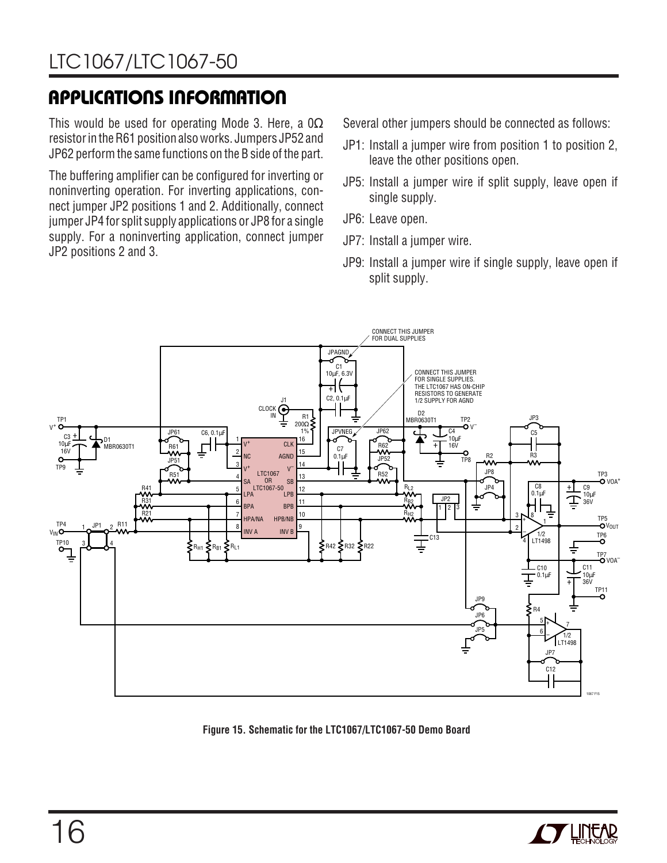This would be used for operating Mode 3. Here, a  $0\Omega$ resistor in the R61 position also works. Jumpers JP52 and JP62 perform the same functions on the B side of the part.

The buffering amplifier can be configured for inverting or noninverting operation. For inverting applications, connect jumper JP2 positions 1 and 2. Additionally, connect jumper JP4 for split supply applications or JP8 for a single supply. For a noninverting application, connect jumper JP2 positions 2 and 3.

Several other jumpers should be connected as follows:

- JP1: Install a jumper wire from position 1 to position 2, leave the other positions open.
- JP5: Install a jumper wire if split supply, leave open if single supply.
- JP6: Leave open.
- JP7: Install a jumper wire.
- JP9: Install a jumper wire if single supply, leave open if split supply.



**Figure 15. Schematic for the LTC1067/LTC1067-50 Demo Board**

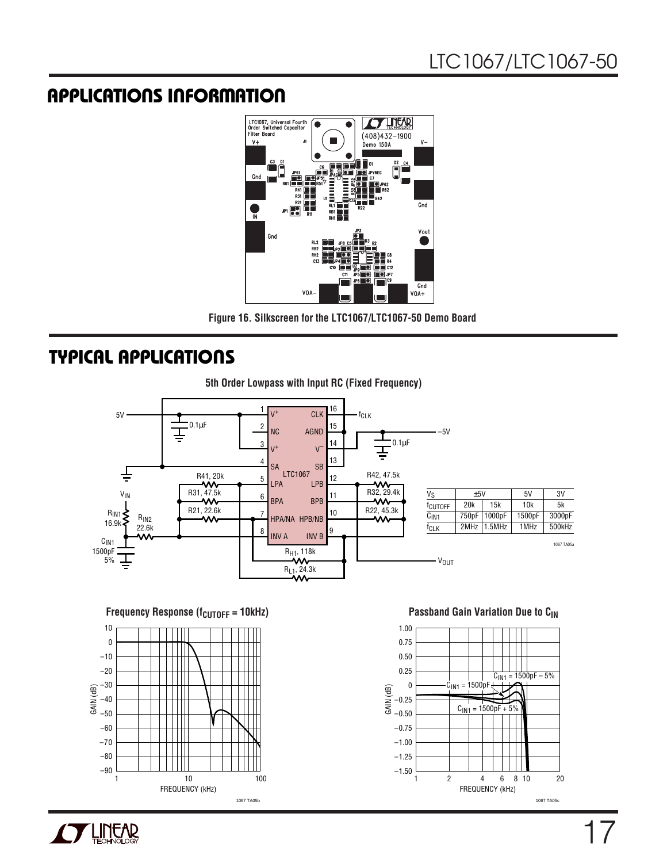

**Figure 16. Silkscreen for the LTC1067/LTC1067-50 Demo Board**

### **TYPICAL APPLICATIONS U**



**Frequency Response (f<sub>CUTOFF</sub> = 10kHz) <b>Passband Gain Variation Due to C**<sub>IN</sub>





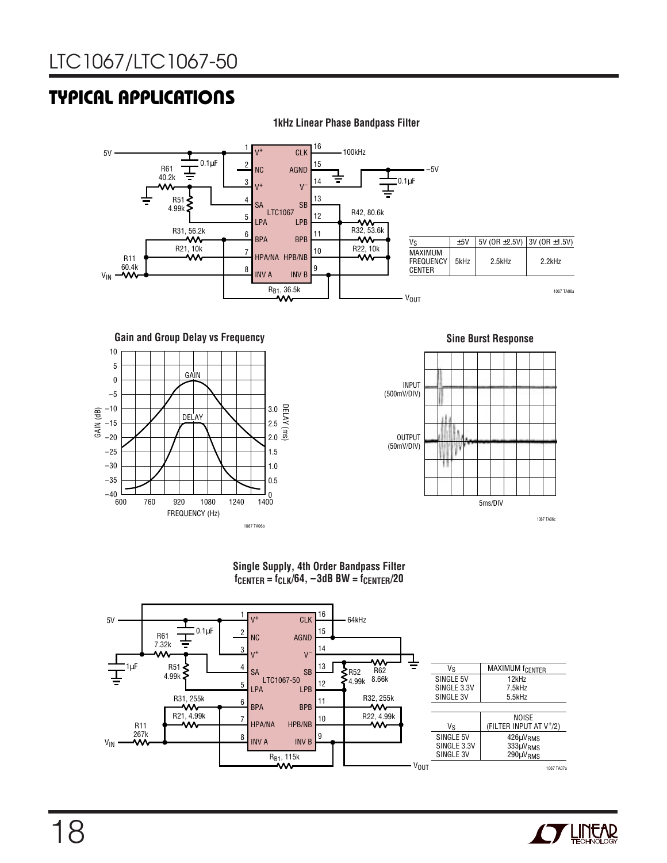### **TYPICAL APPLICATIONS U**



#### **1kHz Linear Phase Bandpass Filter**

**Gain and Group Delay vs Frequency**





#### **Single Supply, 4th Order Bandpass Filter fCENTER = fCLK/64, –3dB BW = fCENTER/20**



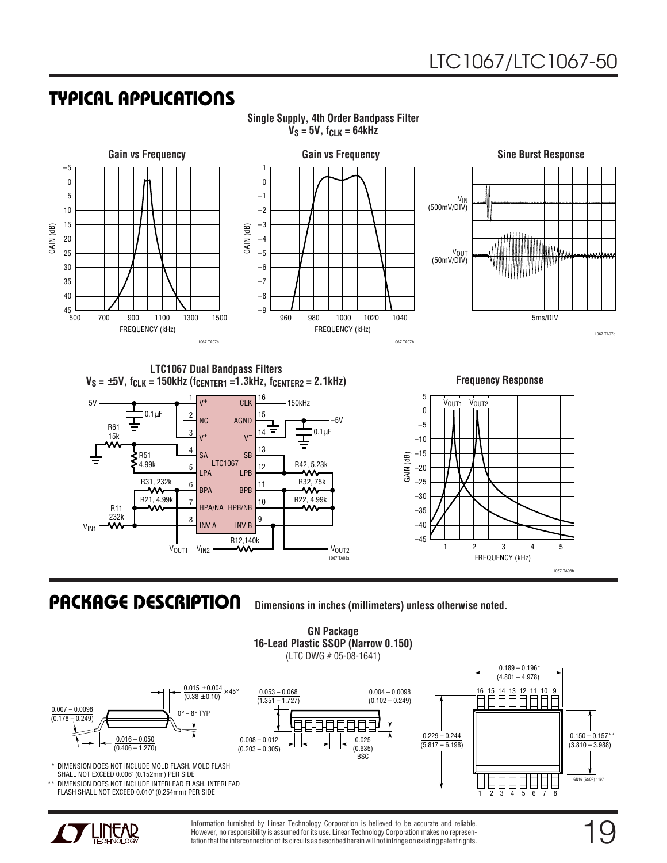### **TYPICAL APPLICATIONS U**



**Single Supply, 4th Order Bandpass Filter**  $V_S = 5V$ ,  $f_{CLK} = 64kHz$ 

### **PACKAGE DESCRIPTION U**

**Dimensions in inches (millimeters) unless otherwise noted.**



Information furnished by Linear Technology Corporation is believed to be accurate and reliable. However, no responsibility is assumed for its use. Linear Technology Corporation makes no representation that the interconnection of its circuits as described herein will not infringe on existing patent rights.